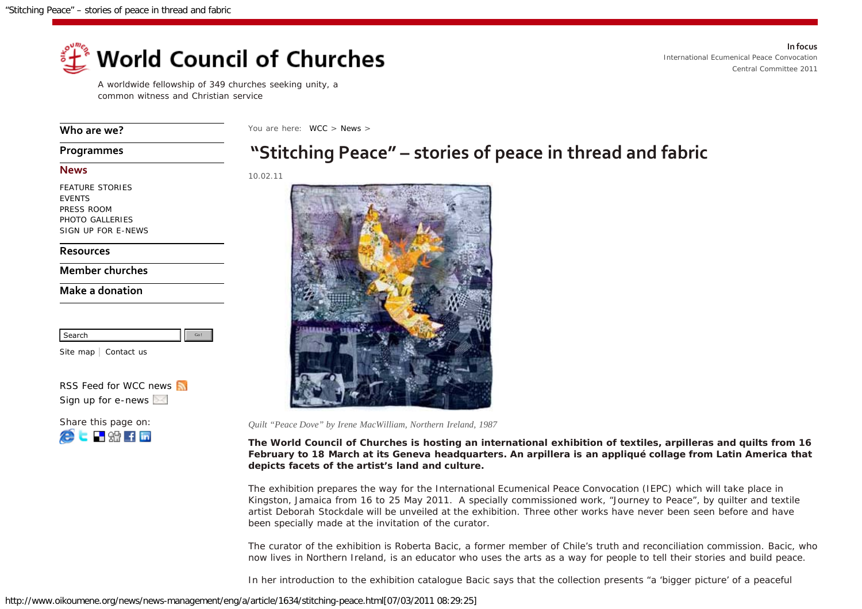

A worldwide fellowship of 349 churches seeking unity, a common witness and Christian service

**[Who are we?](http://www.oikoumene.org/en/who-are-we.html)**

You are here: [WCC](http://www.oikoumene.org/en/home.html) > [News](http://www.oikoumene.org/en/news.html) >

## **[Programmes](http://www.oikoumene.org/en/programmes.html)**

## **[News](http://www.oikoumene.org/en/news.html)**

[FEATURE STORIES](http://www.oikoumene.org/en/news/feature-stories.html) [EVENTS](http://www.oikoumene.org/en/news/events.html) [PRESS ROOM](http://www.oikoumene.org/en/news/press-room.html) [PHOTO GALLERIES](http://www.oikoumene.org/en/news/photo-galleries.html) [SIGN UP FOR E-NEWS](http://www.oikoumene.org/en/news/sign-up-for-e-news.html)

## **[Resources](http://www.oikoumene.org/en/resources.html)**

**[Member churches](http://www.oikoumene.org/en/member-churches.html)**

## **[Make a donation](http://www.oikoumene.org/en/make-a-donation/donation.html)**

| Search<br>--- |  |
|---------------|--|

[Site map](http://www.oikoumene.org/en/sitemap.html) | [Contact us](http://www2.wcc-coe.org/wccstaff.nsf)

*[RSS Feed for WCC news](http://www.oikoumene.org/en/news/rss.html) [Sign up for e-news](http://www.oikoumene.org/en/news/sign-up-for-e-news.html)*

| Share this page on:               |
|-----------------------------------|
| $\blacksquare$ see $\blacksquare$ |



10.02.11



*Quilt "Peace Dove" by Irene MacWilliam, Northern Ireland, 1987*

**The World Council of Churches is hosting an international exhibition of textiles,** *arpilleras* **and quilts from 16 February to 18 March at its Geneva headquarters. An** *arpillera* **is an appliqué collage from Latin America that depicts facets of the artist's land and culture.**

The exhibition prepares the way for the International Ecumenical Peace Convocation (IEPC) which will take place in Kingston, Jamaica from 16 to 25 May 2011. A specially commissioned work, "Journey to Peace", by quilter and textile artist Deborah Stockdale will be unveiled at the exhibition. Three other works have never been seen before and have been specially made at the invitation of the curator.

The curator of the exhibition is Roberta Bacic, a former member of Chile's truth and reconciliation commission. Bacic, who now lives in Northern Ireland, is an educator who uses the arts as a way for people to tell their stories and build peace.

In her introduction to the exhibition catalogue Bacic says that the collection presents "a 'bigger picture' of a peaceful

**In focus** *[International Ecumenical Peace Convocation](http://www.overcomingviolence.org/index.php?id=2913&L=) [Central Committee 2011](http://www.oikoumene.org/en/events-sections/central-committee-2011.html)*